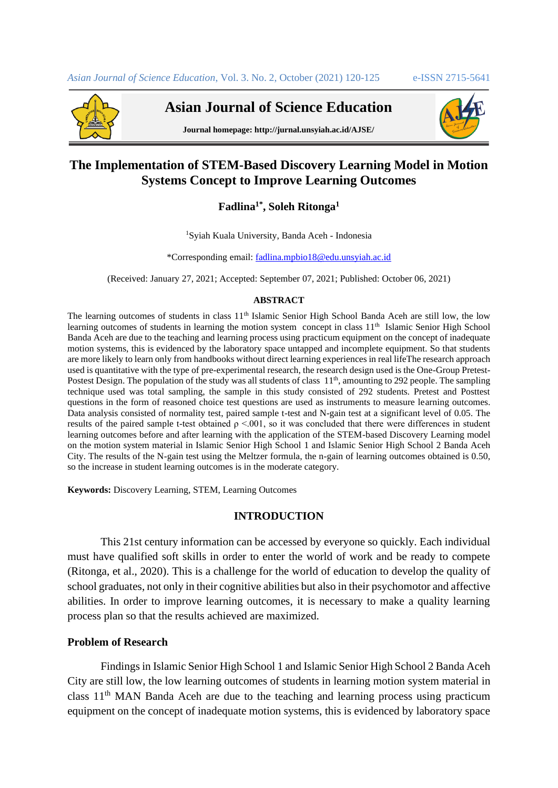

**Asian Journal of Science Education**



**Journal homepage: http://jurnal.unsyiah.ac.id/AJSE/**

# **The Implementation of STEM-Based Discovery Learning Model in Motion Systems Concept to Improve Learning Outcomes**

## **Fadlina1\* , Soleh Ritonga<sup>1</sup>**

<sup>1</sup>Syiah Kuala University, Banda Aceh - Indonesia

\*Corresponding email: [fadlina.mpbio18@edu.unsyiah.ac.id](mailto:fadlina.mpbio18@edu.unsyiah.ac.id)

(Received: January 27, 2021; Accepted: September 07, 2021; Published: October 06, 2021)

#### **ABSTRACT**

The learning outcomes of students in class 11<sup>th</sup> Islamic Senior High School Banda Aceh are still low, the low learning outcomes of students in learning the motion system concept in class 11<sup>th</sup> Islamic Senior High School Banda Aceh are due to the teaching and learning process using practicum equipment on the concept of inadequate motion systems, this is evidenced by the laboratory space untapped and incomplete equipment. So that students are more likely to learn only from handbooks without direct learning experiences in real lifeThe research approach used is quantitative with the type of pre-experimental research, the research design used is the One-Group Pretest-Postest Design. The population of the study was all students of class 11<sup>th</sup>, amounting to 292 people. The sampling technique used was total sampling, the sample in this study consisted of 292 students. Pretest and Posttest questions in the form of reasoned choice test questions are used as instruments to measure learning outcomes. Data analysis consisted of normality test, paired sample t-test and N-gain test at a significant level of 0.05. The results of the paired sample t-test obtained  $\rho < 0.01$ , so it was concluded that there were differences in student learning outcomes before and after learning with the application of the STEM-based Discovery Learning model on the motion system material in Islamic Senior High School 1 and Islamic Senior High School 2 Banda Aceh City. The results of the N-gain test using the Meltzer formula, the n-gain of learning outcomes obtained is 0.50, so the increase in student learning outcomes is in the moderate category.

**Keywords:** Discovery Learning, STEM, Learning Outcomes

## **INTRODUCTION**

This 21st century information can be accessed by everyone so quickly. Each individual must have qualified soft skills in order to enter the world of work and be ready to compete (Ritonga, et al., 2020). This is a challenge for the world of education to develop the quality of school graduates, not only in their cognitive abilities but also in their psychomotor and affective abilities. In order to improve learning outcomes, it is necessary to make a quality learning process plan so that the results achieved are maximized.

## **Problem of Research**

Findings in Islamic Senior High School 1 and Islamic Senior High School 2 Banda Aceh City are still low, the low learning outcomes of students in learning motion system material in class  $11<sup>th</sup>$  MAN Banda Aceh are due to the teaching and learning process using practicum equipment on the concept of inadequate motion systems, this is evidenced by laboratory space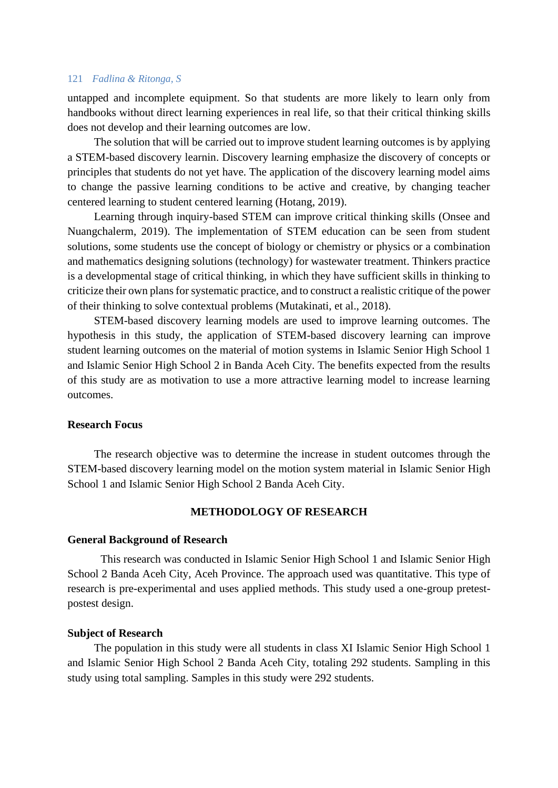#### 121 *Fadlina & Ritonga, S*

untapped and incomplete equipment. So that students are more likely to learn only from handbooks without direct learning experiences in real life, so that their critical thinking skills does not develop and their learning outcomes are low.

The solution that will be carried out to improve student learning outcomes is by applying a STEM-based discovery learnin. Discovery learning emphasize the discovery of concepts or principles that students do not yet have. The application of the discovery learning model aims to change the passive learning conditions to be active and creative, by changing teacher centered learning to student centered learning (Hotang, 2019).

Learning through inquiry-based STEM can improve critical thinking skills (Onsee and Nuangchalerm, 2019). The implementation of STEM education can be seen from student solutions, some students use the concept of biology or chemistry or physics or a combination and mathematics designing solutions (technology) for wastewater treatment. Thinkers practice is a developmental stage of critical thinking, in which they have sufficient skills in thinking to criticize their own plans for systematic practice, and to construct a realistic critique of the power of their thinking to solve contextual problems (Mutakinati, et al., 2018).

STEM-based discovery learning models are used to improve learning outcomes. The hypothesis in this study, the application of STEM-based discovery learning can improve student learning outcomes on the material of motion systems in Islamic Senior High School 1 and Islamic Senior High School 2 in Banda Aceh City. The benefits expected from the results of this study are as motivation to use a more attractive learning model to increase learning outcomes.

## **Research Focus**

The research objective was to determine the increase in student outcomes through the STEM-based discovery learning model on the motion system material in Islamic Senior High School 1 and Islamic Senior High School 2 Banda Aceh City.

#### **METHODOLOGY OF RESEARCH**

#### **General Background of Research**

This research was conducted in Islamic Senior High School 1 and Islamic Senior High School 2 Banda Aceh City, Aceh Province. The approach used was quantitative. This type of research is pre-experimental and uses applied methods. This study used a one-group pretestpostest design.

#### **Subject of Research**

The population in this study were all students in class XI Islamic Senior High School 1 and Islamic Senior High School 2 Banda Aceh City, totaling 292 students. Sampling in this study using total sampling. Samples in this study were 292 students.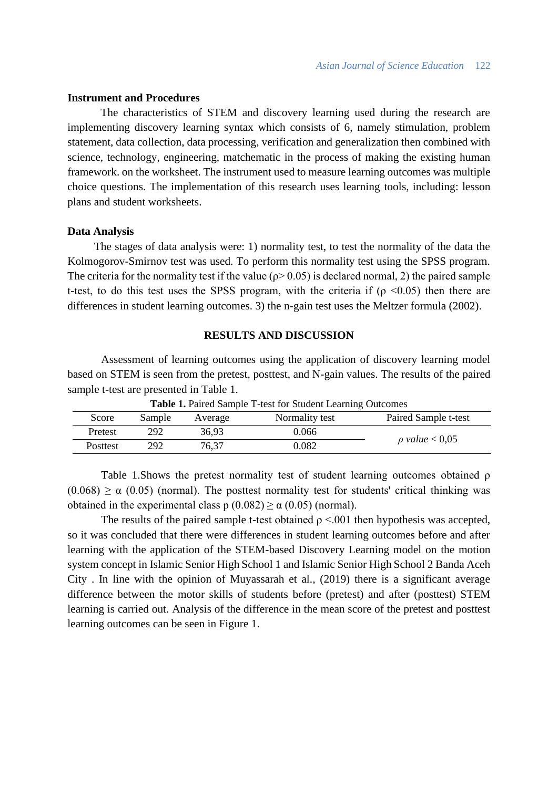### **Instrument and Procedures**

The characteristics of STEM and discovery learning used during the research are implementing discovery learning syntax which consists of 6, namely stimulation, problem statement, data collection, data processing, verification and generalization then combined with science, technology, engineering, matchematic in the process of making the existing human framework. on the worksheet. The instrument used to measure learning outcomes was multiple choice questions. The implementation of this research uses learning tools, including: lesson plans and student worksheets.

#### **Data Analysis**

The stages of data analysis were: 1) normality test, to test the normality of the data the Kolmogorov-Smirnov test was used. To perform this normality test using the SPSS program. The criteria for the normality test if the value ( $\rho$  > 0.05) is declared normal, 2) the paired sample t-test, to do this test uses the SPSS program, with the criteria if ( $\rho \le 0.05$ ) then there are differences in student learning outcomes. 3) the n-gain test uses the Meltzer formula (2002).

## **RESULTS AND DISCUSSION**

Assessment of learning outcomes using the application of discovery learning model based on STEM is seen from the pretest, posttest, and N-gain values. The results of the paired sample t-test are presented in Table 1.

| Twore It I allow balliple I toot for biawing balling cateolities |        |         |                |                       |  |
|------------------------------------------------------------------|--------|---------|----------------|-----------------------|--|
| Score                                                            | Sample | Average | Normality test | Paired Sample t-test  |  |
| Pretest                                                          | 292    | 36,93   | 0.066          | $\rho$ value $< 0.05$ |  |
| <b>Posttest</b>                                                  | 292    | 76.37   | 0.082          |                       |  |

**Table 1.** Paired Sample T-test for Student Learning Outcomes

Table 1.Shows the pretest normality test of student learning outcomes obtained ρ  $(0.068) \ge \alpha$  (0.05) (normal). The posttest normality test for students' critical thinking was obtained in the experimental class  $p(0.082) \ge \alpha(0.05)$  (normal).

The results of the paired sample t-test obtained  $\rho \leq 0.001$  then hypothesis was accepted, so it was concluded that there were differences in student learning outcomes before and after learning with the application of the STEM-based Discovery Learning model on the motion system concept in Islamic Senior High School 1 and Islamic Senior High School 2 Banda Aceh City . In line with the opinion of Muyassarah et al., (2019) there is a significant average difference between the motor skills of students before (pretest) and after (posttest) STEM learning is carried out. Analysis of the difference in the mean score of the pretest and posttest learning outcomes can be seen in Figure 1.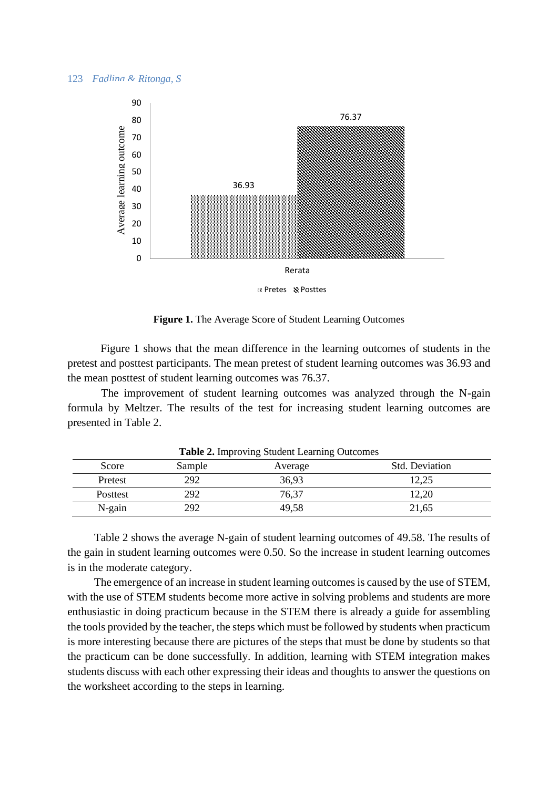#### 123 *Fadlina & Ritonga, S*



**Figure 1.** The Average Score of Student Learning Outcomes

Figure 1 shows that the mean difference in the learning outcomes of students in the pretest and posttest participants. The mean pretest of student learning outcomes was 36.93 and the mean posttest of student learning outcomes was 76.37.

The improvement of student learning outcomes was analyzed through the N-gain formula by Meltzer. The results of the test for increasing student learning outcomes are presented in Table 2.

| <b>Table 2.</b> Improving Student Learning Outcomes |        |         |                       |  |  |
|-----------------------------------------------------|--------|---------|-----------------------|--|--|
| Score                                               | Sample | Average | <b>Std. Deviation</b> |  |  |
| Pretest                                             | 292    | 36,93   | 12,25                 |  |  |
| <b>Posttest</b>                                     | 292    | 76,37   | 12,20                 |  |  |
| $N$ -gain                                           | 292    | 49.58   | 21,65                 |  |  |

**Table 2.** Improving Student Learning Outcomes

Table 2 shows the average N-gain of student learning outcomes of 49.58. The results of the gain in student learning outcomes were 0.50. So the increase in student learning outcomes is in the moderate category.

The emergence of an increase in student learning outcomes is caused by the use of STEM, with the use of STEM students become more active in solving problems and students are more enthusiastic in doing practicum because in the STEM there is already a guide for assembling the tools provided by the teacher, the steps which must be followed by students when practicum is more interesting because there are pictures of the steps that must be done by students so that the practicum can be done successfully. In addition, learning with STEM integration makes students discuss with each other expressing their ideas and thoughts to answer the questions on the worksheet according to the steps in learning.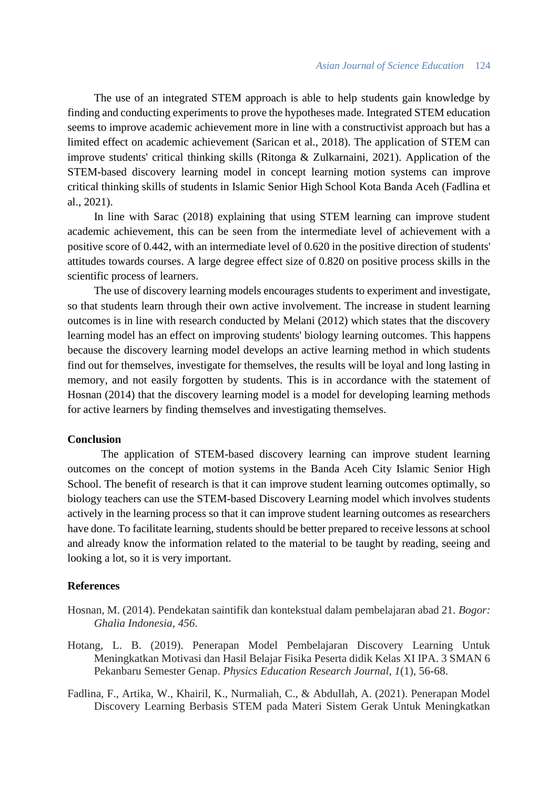The use of an integrated STEM approach is able to help students gain knowledge by finding and conducting experiments to prove the hypotheses made. Integrated STEM education seems to improve academic achievement more in line with a constructivist approach but has a limited effect on academic achievement (Sarican et al., 2018). The application of STEM can improve students' critical thinking skills (Ritonga & Zulkarnaini, 2021). Application of the STEM-based discovery learning model in concept learning motion systems can improve critical thinking skills of students in Islamic Senior High School Kota Banda Aceh (Fadlina et al., 2021).

In line with Sarac (2018) explaining that using STEM learning can improve student academic achievement, this can be seen from the intermediate level of achievement with a positive score of 0.442, with an intermediate level of 0.620 in the positive direction of students' attitudes towards courses. A large degree effect size of 0.820 on positive process skills in the scientific process of learners.

The use of discovery learning models encourages students to experiment and investigate, so that students learn through their own active involvement. The increase in student learning outcomes is in line with research conducted by Melani (2012) which states that the discovery learning model has an effect on improving students' biology learning outcomes. This happens because the discovery learning model develops an active learning method in which students find out for themselves, investigate for themselves, the results will be loyal and long lasting in memory, and not easily forgotten by students. This is in accordance with the statement of Hosnan (2014) that the discovery learning model is a model for developing learning methods for active learners by finding themselves and investigating themselves.

## **Conclusion**

The application of STEM-based discovery learning can improve student learning outcomes on the concept of motion systems in the Banda Aceh City Islamic Senior High School. The benefit of research is that it can improve student learning outcomes optimally, so biology teachers can use the STEM-based Discovery Learning model which involves students actively in the learning process so that it can improve student learning outcomes as researchers have done. To facilitate learning, students should be better prepared to receive lessons at school and already know the information related to the material to be taught by reading, seeing and looking a lot, so it is very important.

#### **References**

- Hosnan, M. (2014). Pendekatan saintifik dan kontekstual dalam pembelajaran abad 21. *Bogor: Ghalia Indonesia*, *456*.
- Hotang, L. B. (2019). Penerapan Model Pembelajaran Discovery Learning Untuk Meningkatkan Motivasi dan Hasil Belajar Fisika Peserta didik Kelas XI IPA. 3 SMAN 6 Pekanbaru Semester Genap. *Physics Education Research Journal*, *1*(1), 56-68.
- Fadlina, F., Artika, W., Khairil, K., Nurmaliah, C., & Abdullah, A. (2021). Penerapan Model Discovery Learning Berbasis STEM pada Materi Sistem Gerak Untuk Meningkatkan